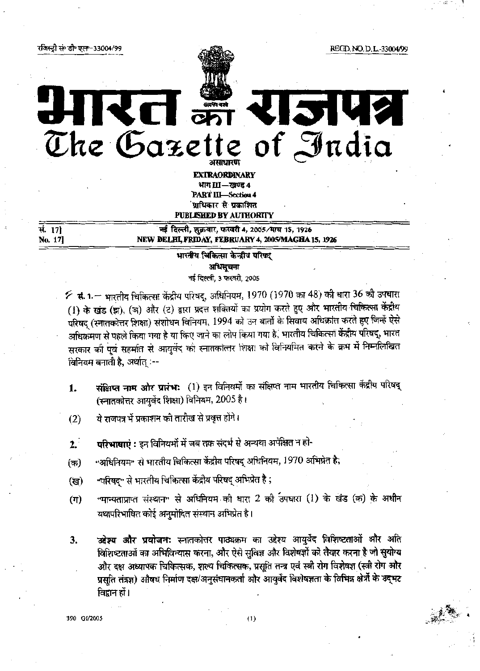रजिस्ट्री सं डी॰ एल-33004/99

REGD. NO. D. L.-33004/99

आरत क्षेत्र राजपत्र

The Gazette of India

EXTRAORDINARY भाग III — खण्ड 4 **PART III-Section 4** प्राधिकार से प्रकाशित **PUBLISHED BY AUTHORITY** 

सं. 171 No. 17]

## नई दिल्ली, शुक्रवार, फरवरी 4, 2005/माघ 15, 1926 NEW DELHI, FRIDAY, FEBRUARY 4, 2005/MAGHA 15, 1926

## भारतीय चिकित्सा केन्द्रीय परिषद् अधिसूचना नई दिल्ली, 3 फरवरी, 2005

 $\cancel{\sim}$  सं. 1.— भारतीय चिकित्सा केंद्रीय परिषद्, अधिनियम, 1970 (1970 का 48) की धारा 36 की उपधारा (1) के खंड (झ), (ञ) और (ट) द्वारा प्रदत्त शक्तियों का प्रयोग करते हुए और भारतीय चिकित्सा केंद्रीय परिषद् (स्नातकोत्तर शिक्षा) संशोधन विनियम, 1994 को उन बातों के सिवाय अधिक्रांत करते हुए जिन्हें ऐसे अधिक्रमण से पहले किया गया है या किए जाने का लोप किया गया है, भारतीय चिकित्सा केंद्रीय परिषद्, भारत सरकार को पूर्व सहमति से आयुर्वेद की स्नातकोत्तर शिक्षा को विनियमित करने के क्रम में निम्नलिखित विनियम बनाती है, अर्थात् :--

- संक्षिप्त नाम और प्रारंभ: (1) इन विनियमों का संक्षिप्त नाम भारतीय चिकित्सा केंद्रीय परिषद् 1. (स्नातकोत्तर आयुर्वेद शिक्षा) विनियम, 2005 है।
- ये राजपत्र में प्रकाशन की तारीख से प्रवृत्त होगे।  $(2)$
- **परिभाषाएं :** इन विनियमों में जब तक संदर्भ से अन्यथा अपेक्षित न हो- $2.$
- "अधिनियम" से भारतीय चिकित्सा केंद्रीय परिषद् अधिनियम, 1970 अभिप्रेत है; (क)
- "परिषद" से भारतीय चिकित्सा केंद्रीय परिषद् अभिप्रेत है ; (ख)
- "मान्यताप्राप्त संस्थान" से अधिनियम की धारा 2 की उपधारा (1) के खंड (क) के अधीन (ग) यथापरिभाषित कोई अनुमोदित संस्थान अभिप्रेत है।
- **उद्देश्य और प्रयोजन:** स्नातकोत्तर पाठ्यक्रम का उद्देश्य आयुर्वेद विशिष्टताओं और अति 3. विशिष्टताओं का अभिविन्यास करना, और ऐसे सुविज्ञ और विशेषज्ञों को तैयार करना है जो सुयोग्य और दक्ष अध्यापक चिकित्सक, शल्य चिकित्सक, प्रसूति तन्त्र एवं स्त्री रोग विशेषज्ञ (स्त्री रोग और प्रसूति तंत्रज्ञ) औषध निर्माण दक्ष/अनुसंधानकर्ता और आयुर्वेद विशेषज्ञता के विभिन्न क्षेत्रों के उद्भट विद्वान हों।

**90 GI/2005**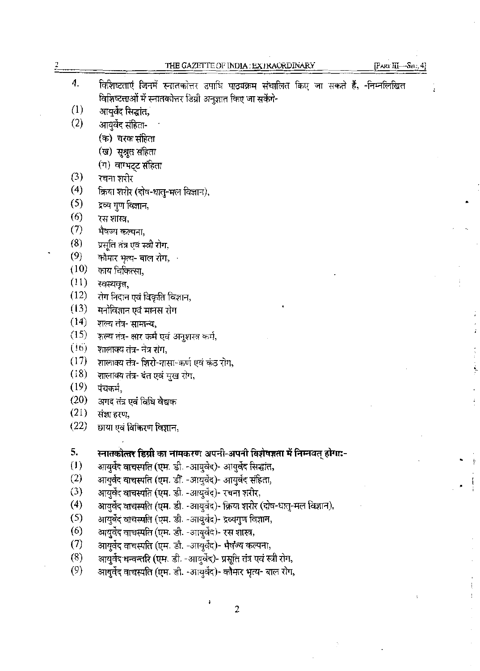|      | $[PARTIII--Sec. 4]$<br>THE GAZETTE OF INDIA: EXTRAORDINARY                          |
|------|-------------------------------------------------------------------------------------|
| 4.   | विशिष्टताएं जिनमें स्नातकोत्तर उपाधि पाठ्यक्रम संचालित किए जा सकते हैं, -निम्नलिखित |
|      | विशिष्टताओं में स्नातकोत्तर डिग्री अनुज्ञात किए जा सकेंगे-                          |
| (1)  | आयुर्वेद सिद्धांत,                                                                  |
| (2)  | आयुर्वेद संहिता-                                                                    |
|      | (क) चरक संहिता                                                                      |
|      | (ख) सुश्रुत संहिता                                                                  |
|      | (ग) वाग्भट्ट संहिता                                                                 |
| (3)  | रचना शरीर                                                                           |
| (4)  | क्रिया शरीर (दोष-धातु-मल विज्ञान),                                                  |
| (5)  | द्रव्य गुण विज्ञान,                                                                 |
| (6)  | रस शास्त्र,                                                                         |
| (7)  | भैषज्य कल्पना,                                                                      |
| (8)  | प्रसृति तंत्र एवं स्त्री रोग.                                                       |
| (9)  | कौमार भृत्य- बाल रोग,  ·                                                            |
| (10) | काय चिकित्सा,                                                                       |
| (11) | स्वस्थवृत्त,                                                                        |
| (12) | रोग निदान एवं विकृति विज्ञान,                                                       |
| (13) | मनोविज्ञान एवं मानस रोग                                                             |
| (14) | शल्य तंत्र- सामान्य,                                                                |
| (15) | शल्य तंत्र- क्षार कर्म एवं अनुशस्त्र कर्म,                                          |
| (16) | शालाक्य तंत्र- नंत्र रोग,                                                           |
| (17) | शालाक्य तंत्र- शिरो-नासा-कर्ण एवं कंठ रोग,                                          |
| (18) | शालाक्य तंत्र- दत एवं मुख रोग,                                                      |
| (19) | पंचकर्म,                                                                            |
| (20) | अगद तंत्र एवं विधि वैद्यक                                                           |
| (21) | संज्ञा हरण,                                                                         |
| (22) | छाया एवं विकिरण विज्ञान,                                                            |
| 5.   | स्नातकोत्तर डिग्री का नामकरण अपनी-अपनी विशेषज्ञता में निम्नवत् होगा:-               |
| (1)  | आयुर्वेद वाचस्पति (एम. डी. -आयुर्वेद)- आयुर्वेद सिद्धांत,                           |
| (2)  | आयुर्वेद वाचस्पति (एम. डी. -आयुर्वेद)- आयुर्वेद संहिता,                             |
| (3)  | आयुर्वेद वाचस्पति (एम. डी. -आयुर्वेद)- रचना शरीर,                                   |
| (4)  | आयुर्वेद वाचस्पति (एम. डी. -आयुर्वेद)- क्रिया शरीर (दोष-धातु-मल विज्ञान),           |
| (5)  | आयुर्वेद वाचस्पति (एम. डी. -आयुर्वेद)- द्रव्यगुण विज्ञान,                           |
| (6)  | आयुर्वेद वाचस्पति (एम. डी. -आयुर्वेद)- रस शास्त्र,                                  |
| (7)  | आयुर्वेद वाचस्पति (एम. डी. -आयुर्वेद)- भैषज्य कल्पना,                               |
| (8)  | आयुर्वेद धन्वन्तरि (एम. डी. -आयुर्वेद)- प्रसूति तंत्र एवं स्त्री रोग,               |
|      |                                                                                     |

 $\frac{1}{2}$ 

こくしょう 見た

 $\ddot{\cdot}$ 

֪֪֚֘֝֝֝֝֝<br>֧֧֧֧֧֧֝֩֩֩֓֝֓֬֝֓֬֝֓֬֝֓֝֬֝֬֝֬֝֬֝֬֝

 $\frac{1}{2}$ 

 $\mathcal{F}^{\mathcal{G}}_{\mathcal{G}}$  is the contribution of the contribution of the contribution of  $\mathcal{G}^{\mathcal{G}}_{\mathcal{G}}$ 

Ŷ.

2

 $\frac{1}{\sqrt{2}}$ 

 $\ddot{\phantom{a}}$ 

 $\overline{\phantom{a}}$ 

 $\bar{z}$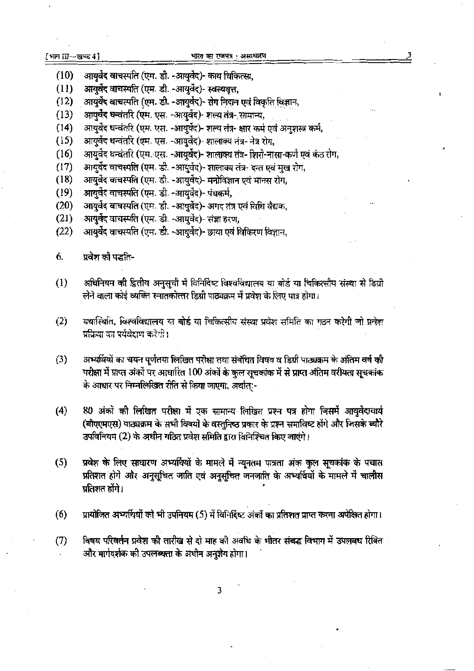- आयुर्वेद वाचस्पति (एम. डी. -आयुर्वेद)- काय चिकित्सा,  $(10)$
- आयुर्वेद वाचस्पति (एम. डी. -आयुर्वेद)- स्वस्थवत्त,  $(11)$
- आयुर्वेद वाचस्पति (एम. डी. -आयुर्वेद)- रोग निदान एवं विकृति विज्ञान,  $(12)$
- आयुर्वेद धन्वंतरि (एम. एस. -आयुर्वेद)- शल्य तंत्र- सामान्य,  $(13)$
- आयुर्वेद धन्वंतरि (एम. एस. -आयुर्वेद)- शल्य तंत्र- क्षार कर्म एवं अनुशस्त्र कर्म,  $(14)$
- आयुर्वेद धन्वंतरि (एम. एस. -आयुर्वेद)- शालाक्य तंत्र- नेत्र रोग,  $(15)$
- आयुर्वेद धन्वंतरि (एम. एस. -आयुर्वेद)- शालाक्य तंत्र- शिरो-नासा-कर्ण एवं कंठ रोग,  $(16)$
- आयुर्वेद वाचस्पति (एम. डी. -आयुर्वेद)- शालाक्य तंत्र- दन्त एवं मुख रोग,  $(17)$
- आयुर्वेद वाचस्पति (एम. डी. -आयुर्वेद)- मनोविज्ञान एवं मानस रोग,  $(18)$
- आयुर्वेद वाचस्पति (एम. डी. -आयुर्वेद)- पंचकर्म,  $(19)$
- आयुर्वेद वाचस्पति (एम. डी. -आयुर्वेद)- अगद तंत्र एवं विधि वैद्यक,  $(20)$
- आयुर्वेद वाचस्पति (एम. डी. -आयुर्वेद)- संज्ञा हरण,  $(21)$
- आयुर्वेद वाचस्पति (एम. डी. -आयुर्वेद)- छाया एवं विकिरण विज्ञान,  $(22)$
- 6. प्रवेश की पद्धति-
- अधिनियम की द्वितीय अनुसूची में विनिर्दिष्ट विश्वविद्यालय या बोर्ड या चिकित्सीय संस्था से डिग्री  $(1)$ लेने वाला कोई व्यक्ति स्नातकोत्तर डिग्री पाठ्यक्रम में प्रवेश के लिए पात्र होगा।
- यथास्थिति, विश्वविद्यालय या बोर्ड या चिकित्सीय संस्था प्रवेश समिति का गठन करेगी जो प्रतेश  $(2)$ प्रक्रिया का पर्यवेशण करेगी।
- अभ्यर्थियों का चयन पूर्णतया लिखित परीक्षा तथा संबंधित विषय व डिग्री पाठ्यक्रम के अंतिम वर्ष की  $(3)$ परीक्षा में प्राप्त अंकों पर आधारित 100 अंकों के कुल सूचकांक में से प्राप्त अंतिम वरीयता सूचकांक के आधार पर निम्नलिखित रीति से किया जाएगा, अर्थात:-
- $(4)$ 80 अंकों की लिखित परीक्षा में एक सामान्य लिखित प्रश्न पत्र होगा जिसमें आयुर्वेदाचार्य (बीएएमएस) पाठ्यक्रम के सभी विषयों के वस्तुनिष्ठ प्रकार के प्रश्न समाविष्ट होंगे और जिसके ब्यौरे उपविनियम (2) के अधीन गठित प्रवेश समिति द्वारा विनिश्चित किए जाएंगे।
- प्रवेश के लिए साधारण अभ्यर्थियों के मामले में न्यूनतम पात्रता अंक कुल सूचकांक के पचास  $(5)$ प्रतिशत होगे और अनुसूचित जाति एवं अनुसूचित जनजाति के अभ्यर्थियों के मामले में चालीस प्रतिशत होंगे।
- प्रायोजित अभ्यर्थियों को भी उपनियम (5) में विनिर्दिष्ट अंकों का प्रतिशत प्राप्त करना अपेक्षित होगा।  $(6)$
- $(7)$ विषय परिवर्तन प्रवेश की तारीख से दो माह की अवधि के भीतर संबद्ध विभाग में उपलबध रिक्ति और मार्गदर्शक की उपलब्धता के अधीन अनुज्ञेय होगा।

3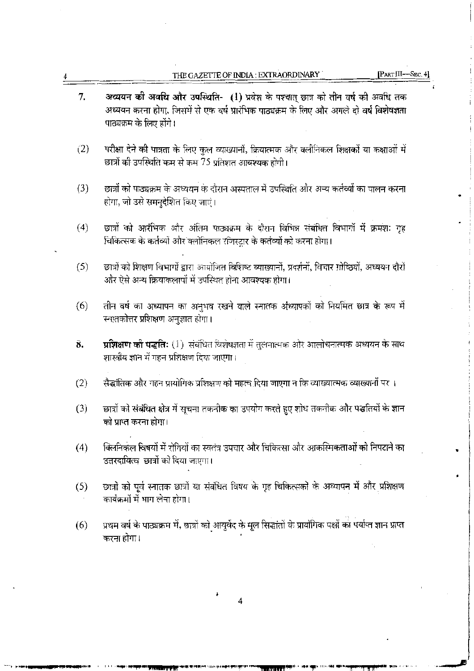| 7.  | अध्ययन की अवधि और उपस्थिति- (1) प्रवेश के पश्चात् छात्र को तीन वर्ष की अवधि तक<br>अध्ययन करना होगा, जिसमें से एक वर्ष प्रारंभिक पाठ्यक्रम के लिए और अगले दो वर्ष विशेषज्ञता<br>पाठ्यक्रम के लिए होंगे। |
|-----|--------------------------------------------------------------------------------------------------------------------------------------------------------------------------------------------------------|
| (2) | परीक्षा देने की पात्रता के लिए कुल व्याख्यानों, क्रियात्मक और क्लीनिकल शिक्षकों या कक्षाओं में<br>छात्रों को उपस्थिति कम से कम 75 प्रतिशत आवश्यक होगी।                                                 |
| (3) | छात्रों को पाठ्यक्रम के अध्ययन के दौरान अस्पताल में उपस्थिति और अन्य कर्तव्यों का पालन करना<br>होगा, जो उसे समनुदेशित किए जाएं।                                                                        |
| (4) | छात्रों को आरंभिक और अंतिम पाठ्यक्रम के दौरान विभिन्न संबंधित विभागों में क्रमशः गृह<br>चिकित्सक के कर्तव्यों और क्लीनिकल रजिस्टार के कर्तव्यों को करना होगा।                                          |
| (5) | छात्रों को शिक्षण विभागों द्वारा आयोजित विशिष्ट व्याख्यानों, प्रदर्शनों, विचार गोष्ठियों, अध्ययन दौरों<br>और ऐसे अन्य क्रियाकलापों में उपस्थित होना आवश्यक होगा।                                       |
| (6) | तीन वर्ष का अध्यापन का अनुभव रखने वाले स्नातक अध्यापकों को नियमित छात्र के रूप में<br>स्नातकोत्तर प्रशिक्षण अनुज्ञात होगा।                                                                             |
| 8.  | <b>प्रशिक्षण को पद्धति:</b> (1)  संबंधित विशेषज्ञता में तुलनात्मक और आलोचनात्मक अध्ययन के साथ<br>शास्त्रीय ज्ञान में गहन प्रशिक्षण दिया जाएगा।                                                         |
| (2) | सैद्धांतिक और गहन प्रायोगिक प्रशिक्षण को महत्व दिया जाएगा न कि व्याख्यात्मक व्याख्यानों पर ।                                                                                                           |
| (3) | छात्रों को संबंधित क्षेत्र में सूचना तकनीक का उपयोग करते हुए शोध तकनीक और पद्धतियों के ज्ञान<br>को प्राप्त करना होगा।                                                                                  |
| (4) | क्लिनिकल विषयों में रोगियों का स्वतंत्र उपचार और चिकित्सा और आकस्मिकताओं को निपटाने का<br>उत्तरदायित्व छात्रों को दिया जाएगा।                                                                          |
| (5) | छात्रों को पूर्व स्नातक छात्रों या संबंधित विषय के गृह चिकित्सकों के अध्यापन में और प्रशिक्षण<br>कार्यक्रमों में भाग लेना होगा।                                                                        |
| (6) | प्रथम वर्ष के पाठ्यक्रम में, छात्रों को आयुर्वेद के मूल सिद्धांतों के प्रायोगिक पक्षों का पर्याप्त ज्ञान प्राप्त<br>करना होगा।                                                                         |
|     |                                                                                                                                                                                                        |
|     | 4                                                                                                                                                                                                      |

iki satuliwa citati nche i

THE GAZETTE OF INDIA : EXTRAORDINARY

 $\boldsymbol{4}$ 

 $[PART III - Sec. 4]$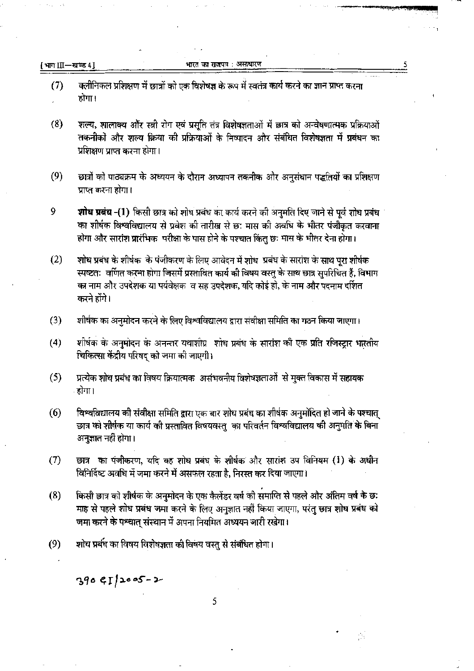[भाग III-खण्ड 4]

भारत का राजपत्र : असाधारण

- क्लीनिकल प्रशिक्षण में छात्रों को एक विशेषज्ञ के रूप में स्वतंत्र कार्य करने का ज्ञान प्राप्त करना  $(7)$ होगा।
- $(8)$ शल्य, शालाक्य और स्त्री रोग एवं प्रसुति तंत्र विशेषज्ञताओं में छात्र को अन्वेषणात्मक प्रक्रियाओं तकनीको और शल्य क्रिया की प्रक्रियाओं के निष्पादन और संबंधित विशेषज्ञता में प्रबंधन का प्रशिक्षण प्राप्त करना होगा।
- $(9)$ छात्रों को पाठ्यक्रम के अध्ययन के दौरान अध्यापन तकनीक और अनुसंधान पद्धतियों का प्रशिक्षण प्राप्त करना होगा।
- 9 **शोध प्रबंध -(1)** किसी छात्र को शोध प्रबंध का कार्य करने की अनुमति दिए जाने से पूर्व शोध प्रबंध का शीर्षक विश्वविद्यालय से प्रवेश की तारीख से छः मास की अवधि के भीतर पंजीकृत करवाना होगा और सारांश प्रारंभिक परीक्षा के पास होने के पश्चात किंत छः मास के भीतर देना होगा।
- $(2)$ शोध प्रबंध के शीर्षक के पंजीकरण के लिए आवेदन में शोध प्रबंध के सारांश के साथ पूरा शीर्षक स्पष्टतः वर्णित करना होगा जिसमें प्रस्तावित कार्य की विषय वस्तु के साथ छात्र सुपरिचित हैं, विभाग का नाम और उपदेशक या पर्यवेक्षक व सह उपदेशक, यदि कोई हो, के नाम और पदनाम दर्शित करने होंगे।
- शीर्षक का अनुमोदन करने के लिए विश्वविद्यालय द्वारा संवीक्षा समिति का गठन किया जाएगा।  $(3)$
- शीर्षक के अनुमोदन के अनन्तर यथाशीघ्र शोध प्रबंध के सारांश की एक प्रति रजिस्ट्रार भारतीय  $(4)$ चिकित्सा केंद्रीय परिषद को जमा की जाएगी।
- $(5)$ प्रत्येक शोध प्रबंध का विषय क्रियात्मक असंभवनीय विशेषज्ञताओं से मुक्त विकास में सहायक होगा।
- विश्वविद्यालय को संवीक्षा समिति द्वारा एक बार शोध प्रबंध का शीर्षक अनुमोदित हो जाने के पश्चात्  $(6)$ छात्र को शीर्षक या कार्य की प्रस्तावित विषयवस्तु का परिवर्तन विश्वविद्यालय की अनुमति के बिना अनुज्ञात नहीं होगा।
- छात्र का पंजीकरण, यदि वह शोध प्रबंध के शीर्षक और सारांश उप विनियम (1) के अधीन  $(7)$ विनिर्दिष्ट अवधि में जमा करने में असफल रहता है, निरस्त कर दिया जाएगा।
- किसी छात्र को शीर्षक के अनुमोदन के एक कैलेंडर वर्ष की समाप्ति से पहले और अंतिम वर्ष के छ:  $(8)$ माह से पहले शोध प्रबंध जमा करने के लिए अनुज्ञात नहीं किया जाएगा, परंतु छात्र शोध प्रबंध को जमा करने के पश्चात् संस्थान में अपना नियमित अध्ययन जारी रखेगा।
- $(9)$ शोध प्रबंध का विषय विशेषज्ञता की विषय वस्तु से संबंधित होगा।

 $390$  GI/2005-2

5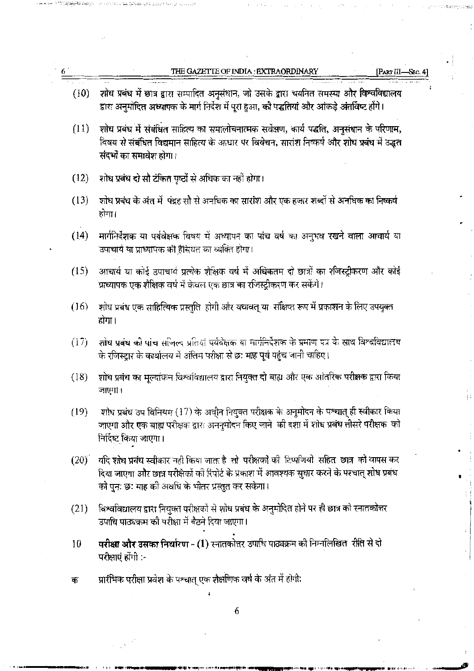|      | THE GAZETTE OF INDIA : EXTRAORDINARY<br><b>Part III</b>                                                                                                                                                                                          |  |
|------|--------------------------------------------------------------------------------------------------------------------------------------------------------------------------------------------------------------------------------------------------|--|
| (10) | शोध प्रबंध में छात्र द्वारा सम्पादित अनुसंधान, जो उसके द्वारा चयनित समस्या और विश्वविद्यालय<br>द्वारा अनुमोदित अध्यापक के मार्ग निर्देश में पूरा हुआ, को पद्धतियां और आंकड़े अंतर्विष्ट होंगे।                                                   |  |
| (11) | शोध प्रबंध में संबंधित साहित्य का समालोचनात्मक सर्वेक्षण, कार्य पद्धति, अनुसंधान के परिणाम,<br>विषय से संबंधित विद्यमान साहित्य के आधार पर विवेचन, सारांश निष्कर्ष और शोध प्रबंध में उद्धत<br>संदर्भों का समावेश होगा।                           |  |
| (12) | शोध प्रबंध दो सौ टंकित पृष्ठों से अधिक का नहीं होगा।                                                                                                                                                                                             |  |
| (13) | शोध प्रबंध के अंत में  पंद्रह सौ से अनधिक का सारांश और एक हजार शब्दों से अनधिक का निष्कर्ष<br>होगा।                                                                                                                                              |  |
| (14) | मार्गनिर्देशक या पर्यवेक्षक विषय में अध्यापन का पांच वर्ष का अनुभव रखने वाला आचार्य या<br>उपाचार्य या प्राध्यापक की हैसियत का व्यक्ति होगा।                                                                                                      |  |
| (15) | आचार्य या कोई उपाचार्य प्रत्येक शैक्षिक वर्ष में अधिकतम दो छात्रों का शीजस्ट्रीकरण और कोई<br>प्राध्यापक एक शैक्षिक वर्ष में केवल एक छात्र का रजिस्ट्रीकरण कर सकेंगे।                                                                             |  |
| (16) | शोध प्रबंध एक साहित्यिक प्रस्तुति होगी और यथावत् या  संक्षिप्त रूप में प्रकाशन के लिए उपयुक्त<br>होगा।                                                                                                                                           |  |
| (17) | शोध प्रबंध की पांच सजिल्द प्रतियां पर्यवेक्षक या मार्गनिर्देशक के प्रमाण पत्र के साथ विश्वविद्यालय<br>के रजिस्ट्रार के कार्यालय में अंतिम परीक्षा से छः माह पूर्व पहुंच जानी चाहिए।                                                              |  |
| (18) | शोध प्रबंध का मूल्यांकन विश्वविद्यालय द्वारा नियुक्त दो बाह्य और एक आंतरिक परीक्षक द्वारा किया<br>जाएगा।                                                                                                                                         |  |
| (19) | शोध प्रबंध उप विनियम (17) के अधीन नियुक्त परीक्षक के अनुमोदन के पश्चात् ही स्वीकार किया<br>जाएगा और एक बाह्य परीक्षक द्वारा अननुमोदन किए जाने  की दशा में शोध प्रबंध तीसरे परीक्षक  को<br>निर्दिष्ट किया जाएगा।                                  |  |
| (20) | यदि शोध प्रबंध स्वीकार नहीं किया जाता है तो परीक्षकों की टिप्पणियो सहित छात्र को वापस कर<br>दिया जाएगा और छात्र परीक्षेकों की रिपोर्ट के प्रकाश में आवश्यक सुधार करने के पश्चात् शोध प्रबंध<br>को पुनः छः माह को अवधि के भीतर प्रस्तुत कर सकेगा। |  |
| (21) | विश्वविद्यालय द्वारा नियुक्त परीक्षकों से शोध प्रबंध के अनुमोदित होने पर ही छात्र को स्नातकोत्तर<br>उपाधि पाठ्यक्रम की परीक्षा में बैठने दिया जाएगा।                                                                                             |  |
| 10   | परीक्षा और उसका निर्धारण - (1) स्नातकोत्तर उपाधि पाठ्यक्रम को निम्नलिखित  रीति से दो<br>परीक्षाएं होंगी :-                                                                                                                                       |  |
| क    | प्रारंभिक परीक्षा प्रवेश के पश्चात् एक शैक्षणिक वर्ष के अंत में होगी:                                                                                                                                                                            |  |

 $\begin{array}{c} \begin{array}{c} t \\ t \\ t \end{array} \end{array}$ 

 $\cdot$ 

 $\begin{bmatrix} 1 \\ 1 \\ 1 \end{bmatrix}$ 

 $\overline{\phantom{a}}$ 

一、 一、 三、 五科

 $\hat{\mathcal{L}}$ 

 $\boldsymbol{\cdot}$ 

 $\frac{1}{\sqrt{2}}$ 

 $\label{eq:3.1} \begin{split} \mathcal{L}_{\text{max}}(\mathbf{y},\mathbf{y}) = \mathcal{L}_{\text{max}}(\mathbf{y},\mathbf{y}) \mathcal{L}_{\text{max}}(\mathbf{y},\mathbf{y}) \mathcal{L}_{\text{max}}(\mathbf{y},\mathbf{y}) \mathcal{L}_{\text{max}}(\mathbf{y},\mathbf{y}) \mathcal{L}_{\text{max}}(\mathbf{y},\mathbf{y}) \mathcal{L}_{\text{max}}(\mathbf{y},\mathbf{y}) \mathcal{L}_{\text{max}}(\mathbf{y},\mathbf{y}) \mathcal{L}_{\text{max}}(\mathbf{y},\mathbf{$ 

 $\overline{\mathcal{L}}$ 

 $\sim 10^{-10}$ 

 $P = 1.5$ 

 $\mathbb{R}^{2}\times\mathbb{R}^{2}$  ,  $\mathbb{R}^{2}$  ,  $\mathbb{R}^{2}$  ,  $\mathbb{R}^{2}$  ,  $\mathbb{R}^{2}$  ,  $\mathbb{R}^{2}$  ,  $\mathbb{R}^{2}$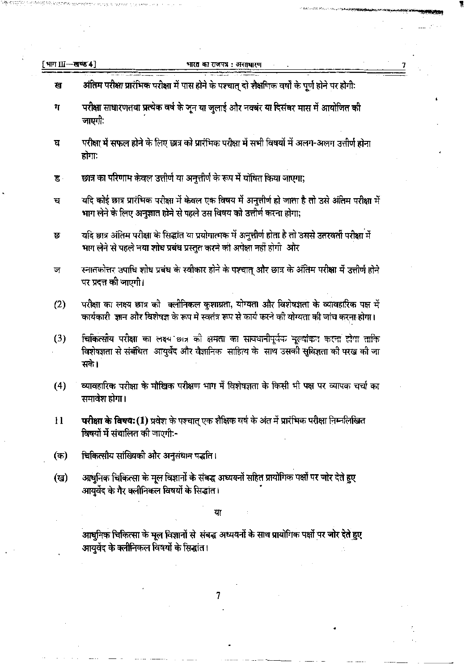| [भाग Ш—खण्ड 4] | भारत का राजपत्र : असाधारण                                                                                                                                                                        |
|----------------|--------------------------------------------------------------------------------------------------------------------------------------------------------------------------------------------------|
| ख              | अंतिम परीक्षा प्रारंभिक परीक्षा में पास होने के पश्चात् दो शैक्षणिक वर्षों के पूर्ण होने पर होगी:                                                                                                |
| ग              | परीक्षा साधारणतया प्रत्येक वर्ष के जून या जुलाई और नवबंर या दिसंबर मास में आयोजित की<br>जाएगी:                                                                                                   |
| घ              | परीक्षा में सफल होने के लिए छात्र को प्रारंभिक परीक्षा में सभी विषयों में अलग-अलग उत्तीर्ण होना<br>होगा:                                                                                         |
| ड              | छात्र का परिणाम केवल उत्तीर्ण या अनुत्तीर्ण के रूप में घोषित किया जाएगा;                                                                                                                         |
| च              | यदि कोई छात्र प्रारंभिक परीक्षा में केवल एक विषय में अनुत्तीर्ण हो जाता है तो उसे अंतिम परीक्षा में<br>भाग लेने के लिए अनुज्ञात होने से पहले उस विषय को उत्तीर्ण करना होगा;                      |
| छ              | यदि छात्र अंतिम परीक्षा के सिद्धांत या प्रयोगात्मक में अनुत्तीर्ण होता है तो उससे उतरवर्ती परीक्षा में<br>भाग लेने से पहले नया शोध प्रबंध प्रस्तुत करने को अपेक्षा नहीं होगी  और                 |
| জ              | स्नातकोत्तर उपाधि शोध प्रबंध के स्वीकार होने के पश्चात् और छात्र के अंतिम परीक्षा में उत्तीर्ण होने<br>पर प्रदत्त की जाएगी।                                                                      |
| (2)            | परीक्षा का लक्ष्य छात्र की  क्लीनिकल कुशाग्रता, योग्यता और विशेषज्ञता के व्यावहारिक पक्ष में<br>कार्यकारी  ज्ञान और विशेषज्ञ के रूप में स्वतंत्र रूप से कार्य करने की योग्यता की जांच करना होगा। |
| (3)            | चिकित्सीय परीक्षा का लक्ष्य छात्र को क्षमता का सावधानीपूर्वक मूल्यांकन करना होगा ताकि<br>विशेषज्ञता से संबंधित  आयुर्वेद और वैज्ञानिक  साहित्य के  साथ उसकी सुविज्ञता की परख की जा<br>सके।       |
| (4)            | व्यावहारिक परीक्षा के मौखिक परीक्षण भाग में विशेषज्ञता के किसी भी पक्ष पर व्यापक चर्चा का<br>समावेश होगा।                                                                                        |
| $\mathbf{1}$   | परीक्षा के विषय:(1) प्रवेश के पश्चात् एक शैक्षिक वर्ष के अंत में प्रारंभिक परीक्षा निम्नलिखित<br>विषयों में संचालित की जाएगी:-                                                                   |
| (क)            | चिकित्सीय सांख्यिकी और अनुसंधान पद्धति।                                                                                                                                                          |
| (ख)            | आधुनिक चिकित्सा के मूल विज्ञानों के संबद्ध अध्ययनों सहित प्रायोगिक पक्षों पर जोर देते हुए<br>आयुर्वेद के गैर क्लीनिकल विषयों के सिद्धांत।                                                        |
|                | या                                                                                                                                                                                               |
|                | आधुनिक चिकित्सा के मूल विज्ञानों से  संबद्ध अध्ययनों के साथ प्रायोगिक पक्षों पर जोर देते हुए<br>आयुर्वेद के क्लीनिकल विषयों के सिद्धांत।                                                         |

 $\overline{7}$ 

 $\cdot$ 

 $\overline{\phantom{a}}$ 

 $\sim$ 

 $\epsilon \rightarrow$ 

 $\frac{1}{\epsilon}$  $\hat{\mathcal{C}}$ 

 $\hat{\mathcal{A}}$ 

 $\label{eq:2} \mathcal{L}_{\text{max}} = \mathcal{L}_{\text{max}} \left( \frac{1}{\sqrt{2}} \right) \mathcal{L}_{\text{max}}$ 

 $\overline{\phantom{a}}$ 

 $\hat{\mathcal{L}}$ 

 $\pmb{\mathfrak{c}}$ 

 $\omega$  ,  $\Delta Z$  :

 $\frac{1}{2} \sum_{i=1}^{n} \frac{1}{2} \sum_{j=1}^{n} \frac{1}{2} \sum_{j=1}^{n} \frac{1}{2} \sum_{j=1}^{n} \frac{1}{2} \sum_{j=1}^{n} \frac{1}{2} \sum_{j=1}^{n} \frac{1}{2} \sum_{j=1}^{n} \frac{1}{2} \sum_{j=1}^{n} \frac{1}{2} \sum_{j=1}^{n} \frac{1}{2} \sum_{j=1}^{n} \frac{1}{2} \sum_{j=1}^{n} \frac{1}{2} \sum_{j=1}^{n} \frac{1}{2} \sum_{j=1}^{n$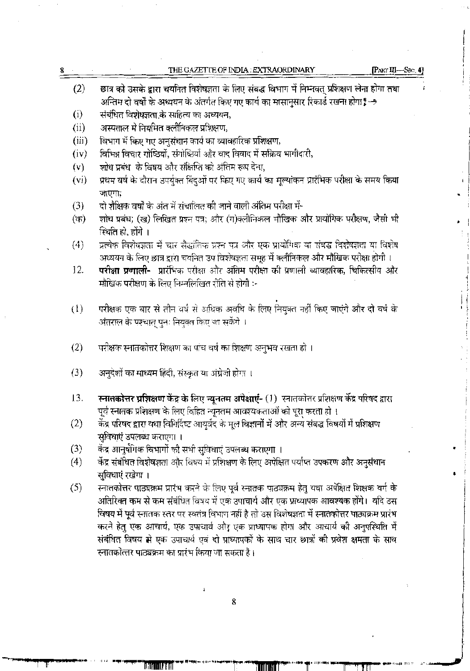| 8 |                   | THE GAZETTE OF INDIA : EXTRAORDINARY                                                                         | $[PART III \rightarrow Spec. 4]$ |
|---|-------------------|--------------------------------------------------------------------------------------------------------------|----------------------------------|
|   | (2)               | छात्र को उसके द्वारा चयनित विशेषज्ञता के लिए संबद्ध विभाग में निम्नवत् प्रशिक्षण लेना होगा तथा               | f.                               |
|   |                   | अन्तिम दो वर्षों के अध्ययन के अंतर्गत किए गए कार्य का मासानुसार रिकार्ड रखना होगा -                          |                                  |
|   | (i)               | संबंधित विशेषज्ञता के साहित्य का अध्ययन,                                                                     |                                  |
|   | (i)               | अस्पताल मे नियमित क्लीनिकल प्रशिक्षण,                                                                        |                                  |
|   | (iii)             | विभाग में किए गए अनुसंधान कार्य का व्यावहारिक प्रशिक्षण,                                                     |                                  |
|   | (iv)              | विभिन्न विचार गोष्ठियों, संगोष्ठियों और वाद विवाद में सक्रिय भागीदारी,                                       |                                  |
|   | (v)               | शोध प्रबंध) के विषय और संक्षिप्ति को अंतिम रूप देना,                                                         |                                  |
|   | (v <sub>i</sub> ) | प्रथम वर्ष के दौरान उपर्युक्त बिंदुओं पर किए गए कार्य का मूल्यांकन प्रारंभिक परीक्षा के समय किया             |                                  |
|   |                   | जाएगा;                                                                                                       |                                  |
|   | (3)               | दो शैक्षिक वर्षों के अंत में संचालित की जाने वाली अंतिम परीक्षा में-                                         |                                  |
|   | (क)               | शोध प्रबंध; (ख) लिखित प्रश्न पत्र; और (ग)क्लीनिकल मौखिक और प्रायोगिक परीक्षण, जैसी भी                        |                                  |
|   |                   | स्थिति हो, होंगे ।                                                                                           |                                  |
|   | (4)               | प्रत्येक विशेषज्ञता में चार सैद्धांतिक प्रश्न पत्र और एक प्रायोगिक या संबद्ध विशेषज्ञता या विशेष             |                                  |
|   |                   | अध्ययन के लिए छात्र द्वारा चर्यानेत उप विशेषज्ञता समूह में क्लीनिकल और मौखिक परीक्षा होगी ।                  |                                  |
|   | 12.               | <b>परीक्षा प्रणाली-</b> प्रारंभिक परीक्षा और अंतिम परीक्षा को प्रणाली व्यावहारिक, चिकित्सीय और               |                                  |
|   |                   | मौखिक परीक्षण के लिए निम्नलिखित रीति से होगी :-                                                              |                                  |
|   |                   |                                                                                                              |                                  |
|   | $\left(1\right)$  | परीक्षक एक बार से तीन वर्ष से अधिक अवधि के लिए नियुक्त नहीं किए जाएंगे और दो वर्ष के                         |                                  |
|   |                   | अंतराल के पश्चात् पुनः नियुक्त किए जा सकेंगे ।                                                               |                                  |
|   |                   |                                                                                                              |                                  |
|   | (2)               | परीक्षक स्नातकोत्तर शिक्षण का पांच वर्ष का शिक्षण अनुभव रखता हो ।                                            |                                  |
|   | (3)               | अनुदेशों का माध्यम हिंदी, संस्कृत या अंग्रेजी होगा ।                                                         |                                  |
|   |                   |                                                                                                              |                                  |
|   | 13.               | <b>स्नातकोत्तर प्रशिक्षण केंद्र के लिए न्यूनतम अपेक्षाएं-</b> (1)  स्नातकोत्तर प्रशिक्षण केंद्र परिषद द्वारा |                                  |
|   |                   | पूर्व स्नातक प्रशिक्षण के लिए विहित न्यूनतम आवश्यकताओं को पूरा करता हो ।                                     |                                  |
|   | (2)               | केंद्र परिषद द्वारा यथा विनिर्दिष्ट आयुर्वेद के मूल विज्ञानों में और अन्य संबद्ध विषयों में प्रशिक्षण        |                                  |
|   |                   | सुविधाएं उपलब्ध कराएगा ।                                                                                     |                                  |
|   | (3)               | केंद्र आनुषंगिक विभागों की सभी सुविधाएं उपलब्ध कराएगा ।                                                      |                                  |
|   | (4)               | केंद्र संबंधित विशेषज्ञता और विषय में प्रशिक्षण के लिए अपेक्षित पर्याप्त उपकरण और अनुसंधान                   |                                  |
|   |                   | सुविधाएं रखेगा ।                                                                                             |                                  |
|   | (5)               | स्नातकोत्तर पाठ्यक्रम प्रारंभ करने के लिए पूर्व स्नातक पाठ्यक्रम हेतु यथा अपेक्षित शिक्षक वर्ग के            |                                  |
|   |                   | अतिरिक्त कम से कम संबंधित विषय में एक उपाचार्य और एक प्राध्यापक आवश्यक होंगे।  यदि उस                        |                                  |
|   |                   | विषय में पूर्व स्नातक स्तर पर स्वतंत्र विभाग नहीं है तो उस विशेषज्ञता में स्नातकोत्तर पाठ्यक्रम प्रारंभ      |                                  |
|   |                   | करने हेतु एक आचार्य, एक उपाचार्य और एक प्राध्यापक होगा और आचार्य की अनुपस्थिति में                           |                                  |
|   |                   | संबंधित विषय से एक उपाचार्य एवं दो प्राध्यापकों के साथ चार छात्रों की प्रवेश क्षमता के साथ                   |                                  |
|   |                   | स्नातकोत्तर पाठ्यक्रम का प्रारंभ किया जा सकता है।                                                            |                                  |
|   |                   |                                                                                                              |                                  |
|   |                   |                                                                                                              |                                  |
|   |                   | ÷<br>8                                                                                                       |                                  |
|   |                   |                                                                                                              |                                  |

 $\sim$ 

 $\overline{\phantom{a}}$ 

 $\mathcal{A}^{\mathcal{A}}_{\mathcal{A}}$  and  $\mathcal{B}^{\mathcal{A}}_{\mathcal{A}}$ 

 $\mathcal{L}^{\mathcal{L}}(\mathcal{A})$  and  $\mathcal{L}^{\mathcal{L}}(\mathcal{A})$  and  $\mathcal{L}^{\mathcal{L}}(\mathcal{A})$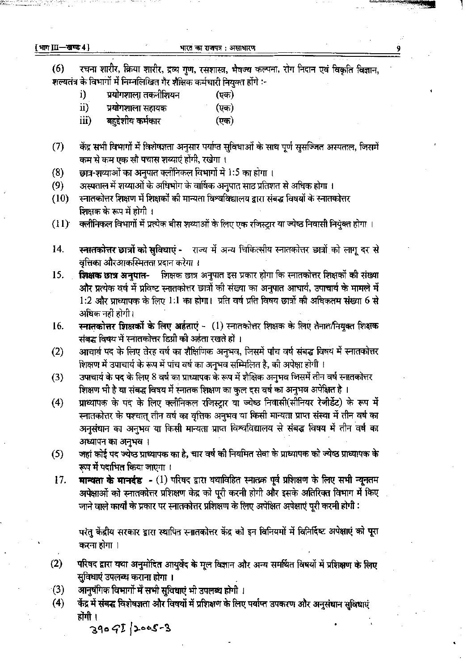[भाग III-खण्ड 4]

रचना शारीर, क्रिया शारीर, द्रव्य गुण, रसशास्त्र, भैषज्य कल्पना, रोग निदान एवं विकृति विज्ञान,  $(6)$ ्<br>शल्यतंत्र के विभागों में निम्नलिखित गैर शैक्षिक कर्मचारी नियुक्त होंगे :-

- प्रयोगशाला तकनीशियन (एक) i)
- $\ddot{\mathbf{i}}$ प्रयोगशाला सहायक (एक)
- iii) बहद्देशीय कर्मकार  $(\overline{v}$ क)
- केंद्र सभी विभागों में विशेषज्ञता अनुसार पर्याप्त सुविधाओं के साथ पूर्ण सुसज्जित अस्पताल, जिसमें  $(7)$ कम से कम एक सौ पचास शय्याएं होंगी, रखेगा ।
- छात्र-शय्याओं का अनुपात क्लीनिकल विभागों में 1:5 का होगा ।  $(8)$
- अस्पताल में शय्याओं के अधिभोग के वार्षिक अनुपात साठ प्रतिशत से अधिक होगा ।  $(9)$
- स्नातकोत्तर शिक्षण में शिक्षकों की मान्यता विश्वविद्यालय द्वारा संबद्ध विषयों के स्नातकोत्तर  $(10)$ शिक्षक के रूप में होगी ।
- क्लीनिकल विभागों में प्रत्येक बीस शय्याओं के लिए एक रजिस्ट्रार या ज्येष्ठ निवासी नियुक्त होगा ।  $(11)$
- स्नातकोत्तर छात्रों को सुविधाएं राज्य में अन्य चिकित्सीय स्नातकोत्तर छात्रों को लागू दर से 14. वृत्तिका औरआकस्मितता प्रदान करेगा ।
- शिक्षक छात्र अनुपात इस प्रकार होगा कि स्नातकोत्तर शिक्षकों की संख्या 15. शिक्षक छात्र अनपात-और प्रत्येक वर्ष में प्रविष्ट स्नातकोत्तर छात्रों की संख्या का अनुपात आचार्य, उपाचार्य के मामले में 1:2 और प्राध्यापक के लिए 1:1 का होगा। प्रति वर्ष प्रति विषय छात्रों की अधिकतम संख्या 6 से अधिक नहीं होगी।
- स्नातकोत्तर शिक्षकों के लिए अर्हताएं (1) स्नातकोत्तर शिक्षक के लिए तैनात/नियुक्त शिक्षक 16. संबद्ध विषय में स्नातकोत्तर डिग्री को अर्हता रखते हों ।
- आचार्य पद के लिए तेरह वर्ष का शैक्षिणिक अनुभव, जिसमें पांच वर्ष संबद्ध विषय में स्नातकोत्तर  $(2)$ शिक्षण में उपाचार्य के रूप में पांच वर्ष का अनुभव सम्मिलित है, की अपेक्षा होगी ।
- उपाचार्य के पद के लिए 8 वर्ष का प्राध्यापक के रूप में शैक्षिक अनुभव जिसमें तीन वर्ष स्नातकोत्तर  $(3)$ शिक्षण भी है या संबद्ध विषय में स्नातक शिक्षण का कुल दस वर्ष का अनुभव अपेक्षित है ।
- प्राध्यापक के पद के लिए क्लीनिकल रजिस्ट्रार या ज्येष्ठ निवासी(सीनियर रेजीडेंट) के रूप में  $(4)$ स्नातकोत्तर के पश्चात् तीन वर्ष का वृत्तिक अनुभव या किसी मान्यता प्राप्त संस्था में तीन वर्ष का अनुसंधान का अनुभव या किसी मान्यता प्राप्त विश्वविद्यालय से संबद्ध विषय में तीन वर्ष का अध्यापन का अनुभव।
- जहां कोई पद ज्येष्ठ प्राध्यापक का है, चार वर्ष की नियमित सेवा के प्राध्यापक को ज्येष्ठ प्राध्यापक के  $(5)$ रूप में पदाभित किया जाएगा ।
- मान्यता के मानदंड (1) परिषद द्वारा यथाविहित स्नातक पूर्व प्रशिक्षण के लिए सभी न्यूनतम 17. अपेक्षाओं को स्नातकोत्तर प्रशिक्षण केद्र को पूरी करनी होगी और इसके अतिरिक्त विभाग में किए जाने वाले कार्यों के प्रकार पर स्नातकोत्तर प्रशिक्षण के लिए अपेक्षित अपेक्षाएं पूरी करनी होगी :

परंतु केंद्रीय सरकार द्वारा स्थापित स्नातकोत्तर केंद्र को इन विनियमों में विनिर्दिष्ट अपेक्षाएं को पूरा करना होगा ।

- परिषद द्वारा यथा अनुमोदित आयुर्वेद के मूल विज्ञान और अन्य समर्थित विषयों में प्रशिक्षण के लिए  $(2)$ सुविधाएं उपलब्ध कराना होगा ।
- आनुषंगिक विभागों में सभी सुविधाएं भी उपलब्ध होगी ।  $(3)$
- केंद्र में संबद्ध विशेषज्ञता और विषयों में प्रशिक्षण के लिए पर्याप्त उपकरण और अनुसंघान सुविधाएं  $(4)$ होंगी ।

 $3909I/2005-3$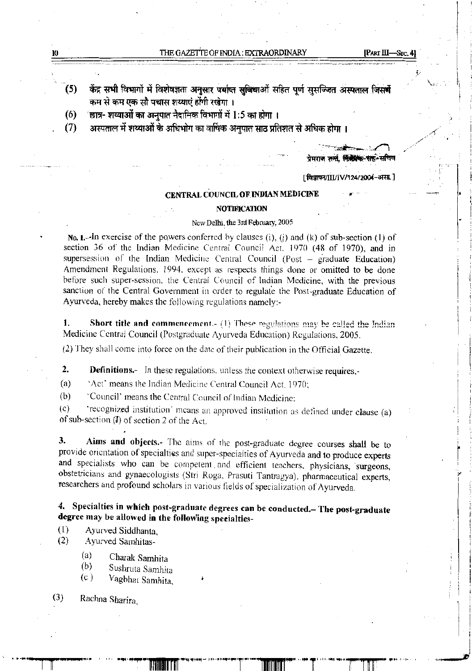| 10 | THE GAZETTE OF INDIA : EXTRAORDINARY |
|----|--------------------------------------|
|    |                                      |

I I

*r* 

·I 'I

. i

·I l

•

; i

1 I  $\frac{1}{2}$ f

> i t

J. !

 $\mathbf{z}$ 

- केंद्र सभी विभागों में विशेषज्ञता अनुसार पर्याप्त सुविधाओं सहित पूर्ण सुसज्जित अस्पताल जिसमें कम से कम एक सौ पचास शय्याएं होंगी रखेगा । (5)
- (6) 'छात्र- शय्याओं का अनुपात नैदानिक विभागों में  $1:5$  का होगा ।
- (7) अस्पताल में शय्याओं के अधिभोग का वार्षिक अनुपात साठ प्रतिशत से अधिक होगा ।

.<br>प्रेमराज <del>सभी, सिंह्याक सह</del>े सचिव

 $\overline{a}$   $\overline{a}$   $\overline{a}$   $\overline{a}$   $\overline{a}$   $\overline{a}$   $\overline{a}$   $\overline{a}$   $\overline{a}$   $\overline{a}$   $\overline{a}$   $\overline{a}$   $\overline{a}$   $\overline{a}$   $\overline{a}$   $\overline{a}$   $\overline{a}$   $\overline{a}$   $\overline{a}$   $\overline{a}$   $\overline{a}$   $\overline{a}$   $\overline{a}$   $\overline{a}$   $\overline{$ 

[विज्ञापन/III/IV/124/2004-असा.]

#### CENTRAL COUNCIL OF INDIAN MEDICINE

### NOTIFICATION

## New Delhi, the 3rd February, 20Q5

No. 1.--In exercise of the powers conferred by clauses (i), (j) and (k) of sub-section (1) of section 36 of the Indian Medicine Central Council Acc. 1970 (48 of 1970), and in supersession of the Indian Medicine Central Council (Post - graduate Education) Amendment Regulations. 1994. except as respects things done or omitted to be done before such super-session, the Central Council of Indian Medicine, with the previous sanction of the Central Government in order to regulate the Post-graduate Education of Ayurveda, hereby makes the following regulations namely:-

1. Short title and commencement.- (1) These regulations may be called the Indian Medicine Central Council (Postgraduate Ayurveda Education) Regulations, 2005.

(2) They shall come into force on the date of their publication in the Official Gazette.

2. Definitions.- In these regulations, unless the context otherwise requires,-

(a) 'Act' means the Indian Medicine Central Council Act, 1970;

(b) 'Council' means the Central Council of Indian Medicine:

(c) 'recognized institution' means an approved institution as defined under clause (a) of sub-section  $(I)$  of section 2 of the Act.

3. Aims and objects.- The aims of the post-graduate degree courses shall be to provide orientation of specialties and super-specialties of Ayurveda and to produce experts and specialists who can be competent . and efficient teachers, physicians, 'surgeons, obstetricians and gynaecologists (Stri Roga, Prasuti Tantragya), pharmaceutical experts, researchers and profound scholars in various fields of specialization of Ayurveda.

4. Specialties in which post-graduate degrees can be conducted.- The post-graduate degree may be allowed in the following speeialties-

(1) Ayurved Siddhanta,

(2) Ayurved Samhitas-

- (a) Charak Samhita<br>(b) Sushruta Samhit
- (b) Sushruta Samhita<br>(c) Vaghhat Samhita
- Vagbhat Samhita,
- Rachna Sharira. (3)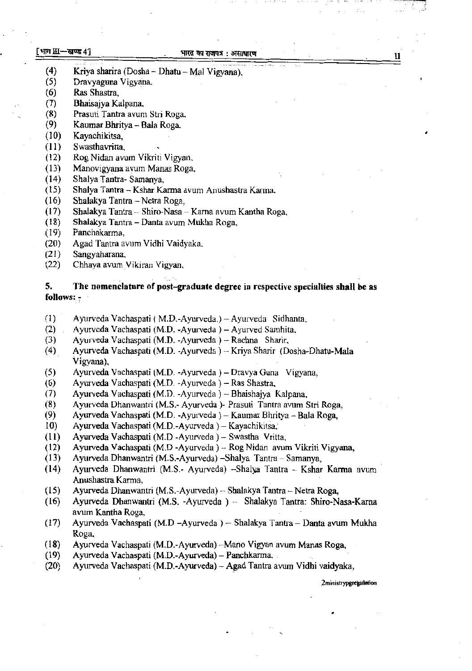### [ भाग III-खण्ड 41

#### भारत का राजपत्र : असाधारण

- (4) Kriya sharira (Dosha Dhatu Mal Vigyana),
- (5) Dravyaguna Vigyana,
- (6) Ras Shastra,
- (7) Bhaisajya Kalpana,
- (8) Prasuti Tantra avum Stri Roga,
- (9) KaumarBhritya- Bala Roga,
- ( 10) Kayachikitsa,
- (11) Swasthavritta,
- ( 12) Rog Nidan avum Vikriti Vigyan,
- (13) Manovigyana avum Manas Roga,
- (14) Shalya Tantra- Samanya,
- (15) Shalya Tantra Kshar Karma avum Anushastra Karma.
- (16) Shalakya Tantra Netra Roga,
- (I 7) Shalakya Tantra Shiro-Nasa Karna avum Kantha Roga,
- ( 18) Shalakya Tantra Danta avum Mukha Roga,
- (19) Panchakarma,
- (20) Agad Tantra avum V idhi Vaidyaka,
- (21) Sangyaharana.
- (22) Chhaya avum Vikiran Vigyan,

## 5. The nomenclature of post-graduate degree in respective specialties **shall** be as follows: *-*

- (l) · Ayurveda Vachaspati ( M.D.-Ayurveda.) -Ayurveda Sidhanta,
- (2) Ayurveda Vachaspati (M.D. -Ayurveda ) Ayurved Samhita,
- (3) Ayurveda Vachaspati (M.D. -Ayurveda ) Rachna Sharir,

. ..

- (4). Ayurveda Vachaspati (M.D. -Ayurveda ) Kriya Sharir (Dosha-Dhatu-Mala Vigyana),
- (5) Ayurveda Vachaspati (M.D. -Ayurveda )- Dravya Guna Vigyana,
- (6) Ayurveda Vachaspati (M.D. -Ayurveda )- Ras Shastra,
- (7) Ayurveda Vachaspati (M.D. -Ayurveda) Bhaishajya Kalpana,
- (8) Ayurveda Dhanwantri (M.S.- Ayurveda )~ Prasuti Tantra avum Stri Roga,
- (9) · Ayurveda Vachaspati (M.D. -Ayurveda )- Kaumar Bhritya- Bala Roga,
- 10) Ayurveda Vachaspati (M.D.-Ayurveda )- Kayachikitsa,
- (11) Ayurveda Vachaspati (M.D -Ayurveda )- Swastha Vritta,
- (12) Ayurveda Vachaspati (M.D -Ayurveda ) -- Rog Nidan avum Vikriti Vigyana,
- (13) Ayurveda Dhanwantri (M.S.-Ayurveda) -Shalya Tantra Samanya,
- (14) Ayurveda Dhanwantri (M.S.- Ayurveda) --Shalya Tantra -- Kshar Karma avum Anushastra Karma,
- (15) Ayurveda Dhanwantri (M.S.-Ayurveda)- Shalakya Tantra- Netra Roga,
- (16) Ayurveda Dbanwantri (M.S. -Ayurveda ) Shalakya Tantra: Shiro-Nasa-Kama avum Kantha Roga,
- (17) Ayurveda Vachaspati (M.D -Ayurveda) Shalakya Tantra Danta avum Mukha Roga,
- (18) Ayurveda Vachaspati (M.D.-Ayurveda) --Mano Vigyan avum Manas Roga,
- (19) Ayurveda Vachaspati (M.D.-Ayurveda)- Panchkarma ..
- (20) Ayurveda Vachaspati (M.D.-Ayurveda)- A~ad Tantra avum Vidhi vaidyaka,

2 ministrypgregulation

, ... ., ...  $\overline{\phantom{a}}$ 

. . . . *.:."* 

..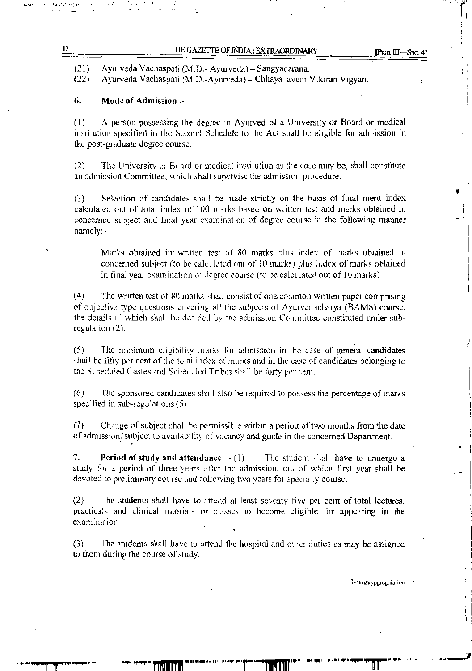Ayurveda Vachaspati (M.D.- Ayurveda) - Sangyaharana. (21)

Ayurveda Vachaspati (M.D.-Ayurveda}- Chhaya avum Vikiran Vigyan, (22)

# 6. Mode of Admission .-

*.. : ...... :.. r., ...... :,:* 

(1) A person possessing the degree in Ayurved of a University or Board or medical institution specified in the Second Schedule to the Act shall be eligible for admission in the post-graduate degree course.

(2) The University or Board or medical institution as the case may be, shall constitute an admission Committee, which shall supervise the admission procedure.

(3) Selection of candidates shall be made strictly on the basis of final merit index calculated out of total index of 100 marks based on written test and marks obtained in concerned subject and final year examination of degree course in the following manner. namely: -

Marks obtained in written test of 80 marks plus index of marks obtained in concerned subject (to be calculated out of 10 marks) plus index of marks obtained in final year examination of degree course (to be calculated out of 10 marks).

(4) The written test of 80 marks shall consist of one.common written paper comprising of objective type questions covering all the subjects of Ayurvedacharya (BAMS) course, the details of which shall be decided by the admission Committee constituted under subregulation (2).

(5) The minimum eligibility marks for admission in the case of general candidates shall be fifty per cent of the total index of marks and in the case of candidates belonging to the Scheduled Castes and Scheduled Tribes shall be forty per cent.

(6) The sponsored candidates shall also be required to possess the percentage of marks specified in sub-regulations (5).

(7) Change of subject shall be permissible within a period of two months from the date of admission, subject to availability of vacancy and guide in the concerned Department.

7. Period of study and attendance  $. - (1)$  The student shall have to undergo a study for a period of three years after the admission, out of which first year shall be devoted to preliminary course and following two years for specialty course.

(2) The students shall have to attend at least seventy five per cent of total lectures, practicals and clinical tutorials or classes to become eligible for appearing in the examination.

(3) The students shall have to attend the hospital and other duties as may be assigned to them during the course of study.

3ministrypgregulation

. -

• i !

 $\bullet$  i i : I ! j

: <sup>~</sup>

. . .  $\cdot$  .  $\cdot$  .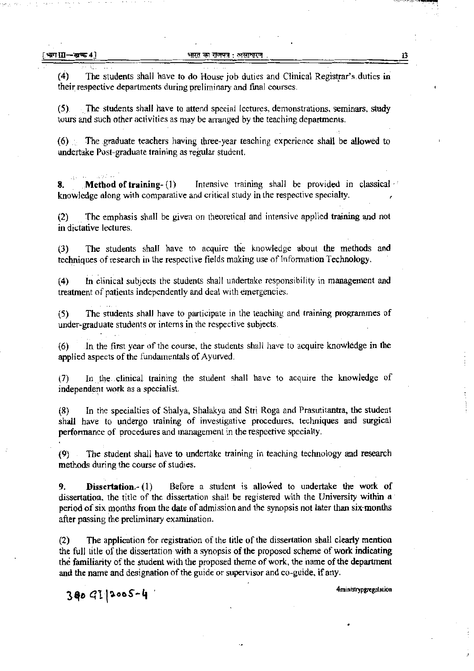. . .. ~ ..... :

.. ~ ;, : .

(4) The students shall have to do House job duties and Clinical Registrar's.duties in their respective departments during preliminary and final courses.

(5} .The students shall have to attend special lectures, demonstrations, seminars, study tours and such other activities as may be arranged by the teaching departments.

(6) ; The graduate teachers having three-year teaching experience shall be allowed to undertake Post-graduate training as regular student.

8. Method of training- (1) Intensive training shall be provided in classical ·· knowledge along with comparative and critical study in the respective specialty. ,

(2) The emphasis shall be given on theoretical and intensive applied training and not <sup>2</sup>) in the emphasis share be given on theoremear e

(3) The students shall have to acquire the knowledge about the methods and techniques of research in the respective fields making use of Information Technology.

(4) In clinical subjects the students shall undertake responsibility in management and treatment of patients independently and deal with emergencies.

(S) The students shall have to participate in the teaching and training programmes of under-graduate students or interns in the respective subjects.

(6) Jn the first- year of the course, the students shall have to acquire knowledge in the applied aspects of the fundamentals of Ayurved.

(7) In the clinical training the student shall have to acquire the knowledge of independent work as a specialist.

(8) In the specialties of Shalya, Shalakya and Stri Roga and Prasutitantra, the student shall have to undergo training of investigative procedures, techniques and surgical performance of procedures and management in the respective specialty.

(9) . The student shall have to undertake training in teaching technology and research methods during the course of studies.

9. **Dissertation.-** (1) Before a student is allowed to undertake the work of dissertation, the title of the dissertation shall be registered with the University within a period of six months from the date of admission and the synopsis not later than six-months after passing the preliminary examination.

(2) The application for. registration of the title of the dissertation shall clearly mention the full title of the dissertation with a synopsis of the proposed scheme of work indicating tbe familiarity of the student with the proposed theme of work, the name of the department and the name and designation of the guide or supervisor and co-guide, if any.

 $3009$ [2005-4

4ministrypgregulation

 $\mathcal{L}^{\mathcal{A}}$  ,  $\mathcal{L}^{\mathcal{A}}$  ,  $\mathcal{L}^{\mathcal{A}}$  ,  $\mathcal{L}^{\mathcal{A}}$  ,  $\mathcal{L}^{\mathcal{A}}$  ,  $\mathcal{L}^{\mathcal{A}}$  ,  $\mathcal{L}^{\mathcal{A}}$  ,  $\mathcal{L}^{\mathcal{A}}$  ,  $\mathcal{L}^{\mathcal{A}}$  ,  $\mathcal{L}^{\mathcal{A}}$  ,  $\mathcal{L}^{\mathcal{A}}$  ,  $\mathcal{L}^{\mathcal{A}}$  ,  $\mathcal{$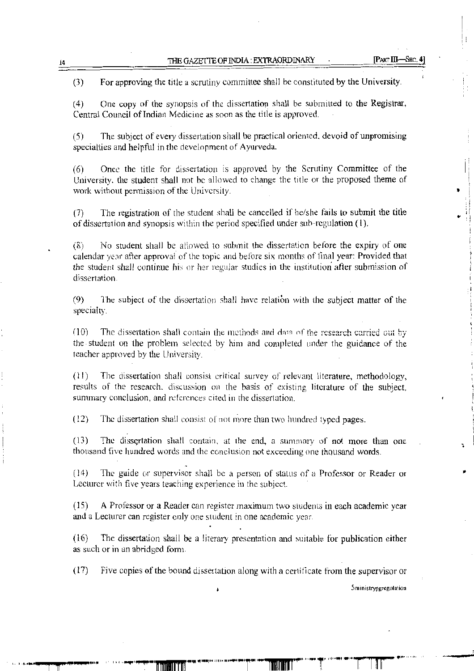..

(3) For approving the title a scrutiny committee shall be constituted by the University.

(4) One copy of the synopsis of the dissertation shall be submitted to the Registrar, Central Council of Indian Medicine as soon as the title is approved.

(5) The subject of every dissertation shall be practical oriented. devoid of unpromising specialties and helpful in the development of Ayurveda.

(6) Once the title for dissertation is approved by the Scrutiny Committee of the University. the student shall not be allowed to change the title or the proposed theme of work without permission of the University.

(7) The registration of the student shall be cancelled if he/she fails to submit the title of dissertation and synopsis within the period specified under sub-regulation (I).

 $(8)$  *No* student shall be allowed to submit the dissertation before the expiry of one calendar year after approval of the topic and before six months of final year: Provided that the student shall continue his or her regular studies in the institution· after submission of dissertation.

(9) The subject of the dissertation shall have relation with the subject matter of the specialty.

 $(10)$  The dissertation shall contain the methods and data of the research carried out by the student on the problem selected by him and completed under the guidance of the teacher approved by the University.

(1 l) The dissertation shall consist critical survey of relevant literature, methodology, results of the research. discussion on the basis of existing literature of the subject, summary conclusion, and references cited in the dissertation.

(12) The dissertation shall consist or not more than two hundred typed pages.

( 13) The dissertation shall contain, at the end, a summary of not more than one thousand five hundred words and the conclusion not exceeding one thousand words.

(14) The guide or supervisor shall be a person of status of a Professor or Reader or Lecturer with five years teaching experience in the subject.

( 15) A Professor or a Reader can register maximum two students in each academic year and a Lecturer can register only one student in one academic year.

(16) The dissertation shall be a literary presentation and suitable for publication either as such or in an abridged form.

( 17) Five copies of the bound dissertation along with a certificate from the supervisor or

Sministrypgregulation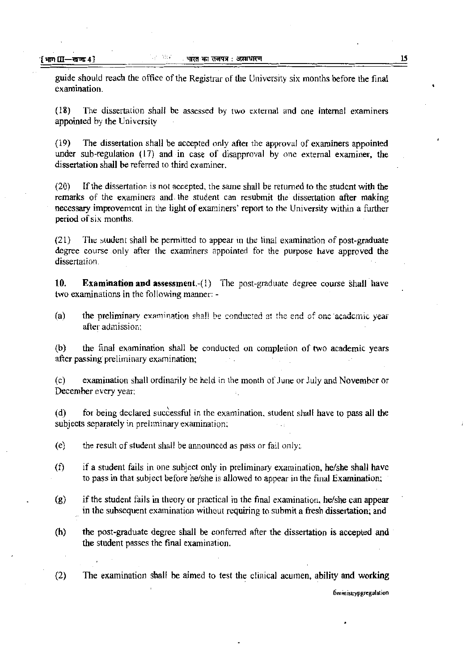guide should reach the office of the Registrar of the University six months before the final examination.

(18) The dissertation shall be assessed by two external and one internal examiners appointed by the University

( 19) The dissertation shall be accepted only after the approval of examiners appointed under sub-regulation  $(17)$  and in case of disapproval by one external examiner, the dissertation shall be referred to third examiner.

(20) If the dissertation is not accepted, the same shall be returned to the student with the remarks of the examiners and the student can resubmit the dissertation after making necessary improvement in the light of examiners' report to the University within a further period of six months.

(21) The student shall be permitted to appear m the tinal examination of post-graduate degree course .only after the examiners appointed for the purpose have approved the dissertation.

**10. Examination and assessment.**-(1) The post-graduate degree course shall have two examinations in the following manner: -

(a) the preliminary examination shall be conducted at the end of one 'academic year after admission:

(b) the final examination shall be conducted on completion of two academic years after passing preliminary examination;

(c) examination shall ordinarily be held in the month of June or July and November or December every year:

(d) for being declared successful in the examination. student shall have to pass all the subjects separately in preliminary examination;

(e) the result of student shall be announced as pass or fail only;

- (f) if a student fails in one subject only in preliminary examination, he/she shall have to pass in that subject before he/she is allowed to appear in the final Examination;
- (g) if the student fails in theory or practical in the final examination. he/she can appear in the subsequent examination without requiring to submit a fresh dissertation; and
- (h} the post-graduate degree shall be conferred after the dissertation is accepted and the student passes the final examination.

(2) The examination shall be aimed to test the clinical acumen, ability and working

6ministrypgregulation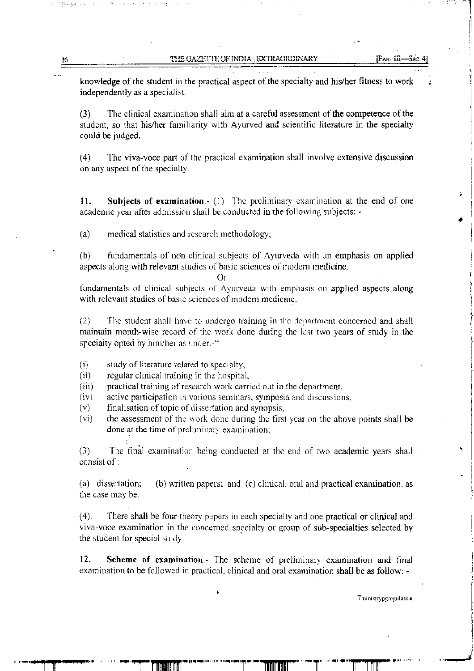THE GAZETTE OF INDIA: EXTRAORDINARY

knowledge of the student in the practical aspect of the specialty and his/her fitness to work independently as a specialist.

(3) The clinical examination shall aim at a careful assessment of the competence of the student, so that his/her familiarity with Ayurved and scientific literature in the specialty could be judged.

(4) The viva-voce part of the practical examination shall involve extensive discussion on any aspect of the specialty.

**11.** Subjects of examination. (1) The preliminary examination at the end of one academic year after admission shall be conducted in the following subjects: •

(a) medical statistics and research methodology;

(b) fundamentals of non-clinical subjects of Ayurveda with an emphasis on applied aspects along with relevant studies of basic sciences of modern medicine.

#### Or

fundamentals of clinical subjects of Ayurveda with emphasis on applied aspects along with relevant studies of basic sciences of modem medicine.

(2) The student shall have to undergo training in the department concerned and shall maintain month-wise record of the work done during the last two years of study in the specialty opted by him/her as under:-"

- (i) study of literature related to specialty,
- (ii) regular clinical training in the hospital.
- (iii) practical training of research work carried out in the department,
- (iv) active participation in various seminars. symposia and discussions.
- (v) finalisation of topic of dissertation and synopsis,
- (vi) the assessment of the work done during the first year on the above points shall be done at the time of preliminary examination;

(3) The final examination being conducted at the end of two academic years shall consist of:

(a) dissertation; (b) written papers; and (c) clinical, oral and practical examination. as the case may be.

( 4). There shall be four theory papers in each specialty and one practical or clinical and viva-voce examination in the concerned specialty or group of sub-specialties selected by the student for special study.

**12. Scheme of examination.-** The scheme of preliminary examination and final examination to be followed in practical, clinical and oral examination shall be as follow: -

è

16

7 rninistrvpgregulauon

 $\mathcal{Q}^{\pm}$ 

i

f ) I i<br>i<br>i<br>i

I

|<br>|<br>|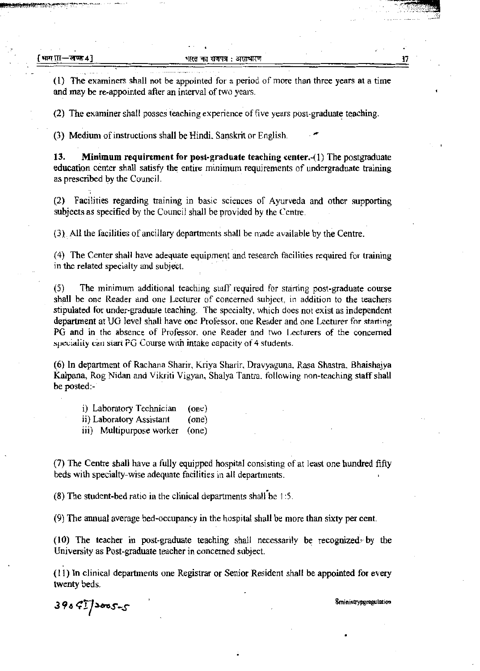. . .

(l) The examiners shall not be appointed for a period of more than three years at a time and may be re-appointed after an interval of two years.

(2) The examiner shall posses teaching experience of five years post-graduate teaching .

. (3) Medium of instructions shall be Hindi. Sanskrit or English.

13. Minimum requirement for post-graduate teaching center.-( 1) The postgraduate education center shall satisfy the entire minimum requirements of undergraduate training as prescribed by the Council.

(2) Facilities regarding training in basic sciences of Ayurveda and other supporting subjects as specified by the Council shall be provided by the Centre.

0),. All the facilities of ancillary departments shall be made available by the Centre.

(4) The Center shall have adequate equipment and research facilities required for training in the related specialty and subject.

(5) The minimum additional teaching staff required for starting post-graduate course shall be one Reader and one Lecturer of concerned subject. in addition to the teachers stipulated for under-graduate teaching. The specialty, which does not exist as independent department at UG level shall have one Professor, one Reader and one Lecturer for starting PG and in the absence of Professor. one Reader and two Lecturers of the concerned speciality can start PG Course with intake capacity of 4 students.

( 6) In department of Rachana Sharir, Kriya Sharir, Dravyaguna, Rasa Shastra, Bhaishajya Kalpana, Rog Nidan and Vikriti Vigyan, Shalya Tantra. following non-teaching staff shall be posted:-

i) Laboratory Technician (one)

ii) Laboratory Assistant (one)

iii) Multipurpose worker (one)

(7) The Centre shall have a fully equipped hospital consisting of at least one hundred fifty beds with specialty-wise adequate facilities in all departments.

(8) The student-bed ratio in the clinical departments shall be  $1:5$ .

(9) The annual average bed-occupancy in the hospital shall be more than sixty per cent.

(10) The teacher in post-graduate teaching shall necessarily be recognized- by the University as Post-graduate teacher in concerned subject.

( 11) In clinical departments one Registrar or Senior Resident shall be appointed for every twenty beds.

8ministrypg~gulation *396 t:ry~s-s*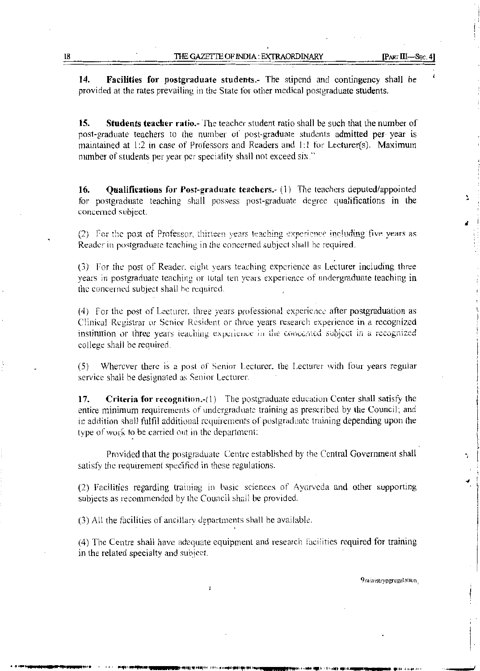14. Facilities for postgraduate students.- The stipend and contingency shall be provided at the rates prevailing in the State for other medical postgraduate students.

15. **Students teacher ratio.** The teacher student ratio shall be such that the number of post-graduate teachers to the number of post-graduate students admitted per year is maintained at 1:2 in case of Professors and Readers and 1:1 for Lecturer(s). Maximum number of students per year per speciality shall not exceed six."

16. **Qualifications for Post-graduate teachers.-** (1) The teachers deputed/appointed for postgraduate teaching shall possess post-graduate degree qualifications in the concerned subject.

(2) For the post of Professor, thirteen years teaching experience including five years as Reader in postgraduate teaching in the concerned subject shall be required.

(3) For the post of Reader, eight years teaching experience as Lecturer including three years in postgraduate teaching or total ten years experience of undergraduate teaching in the concerned subject shall be required.

(4) For the post of Lecturer, three years professional experience after postgraduation as Clinical Registrar or Senior Resident or three years research experience in a recognized institution or three years teaching experience in the concerned subject in a recognized college shall be required.

 $(5)$ Wherever there is a post of Senior Lecturer, the Lecturer with four years regular service shall be designated as Senior Lecturer.

17. **Criteria for recognition.** (1) The postgraduate education Center shall satisfy the entire minimum requirements of undergraduate training as prescribed by the Council; and in addition shall fulfil additional requirements of postgraduate training depending upon the type of work to be carried out in the department:

Provided that the postgraduate Centre established by the Central Government shall satisfy the requirement specified in these regulations.

(2) Facilities regarding training in basic sciences of Ayurveda and other supporting subjects as recommended by the Council shall be provided.

(3) All the facilities of ancillary departments shall be available.

(4) The Centre shall have adequate equipment and research facilities required for training in the related specialty and subject.

9ministrypgregulation